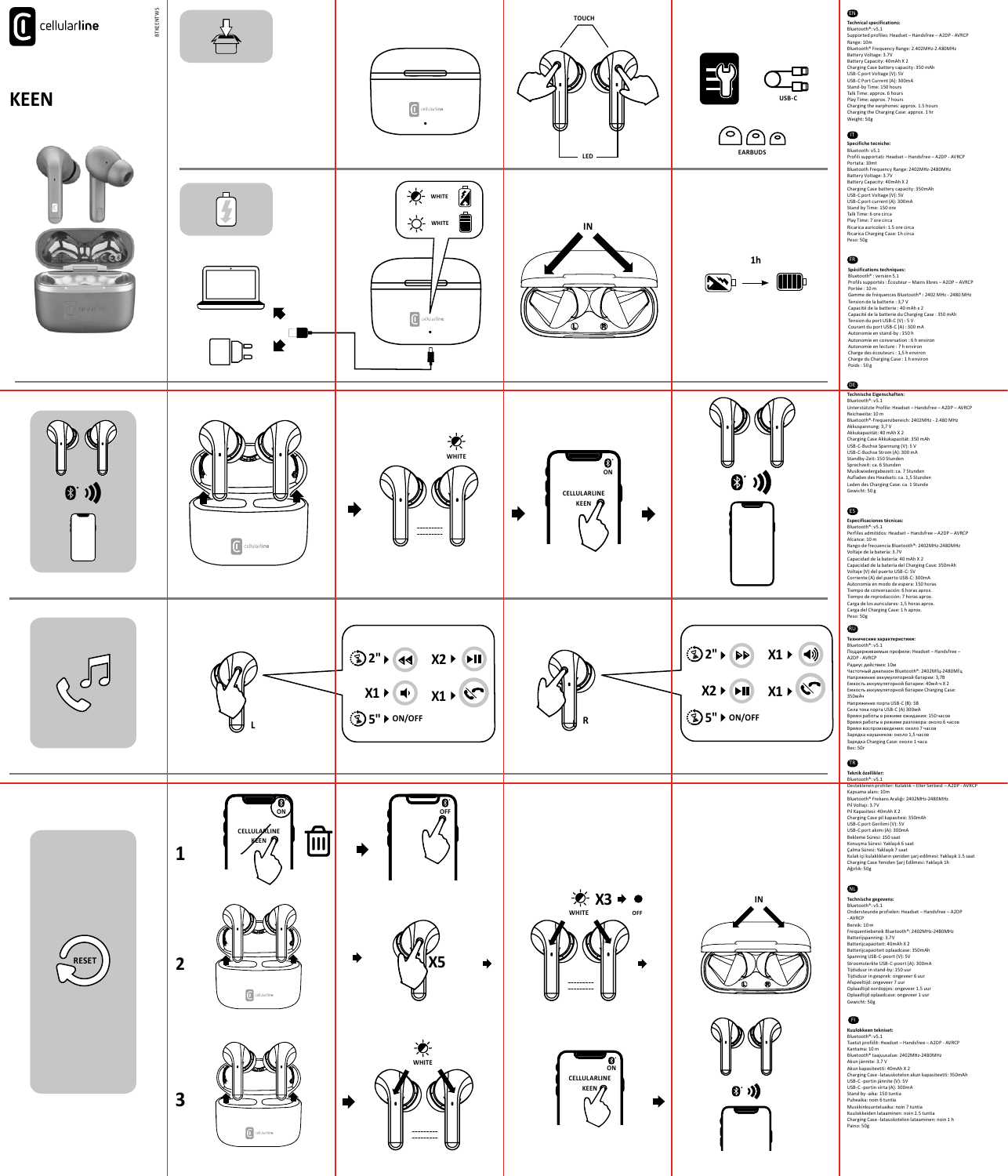